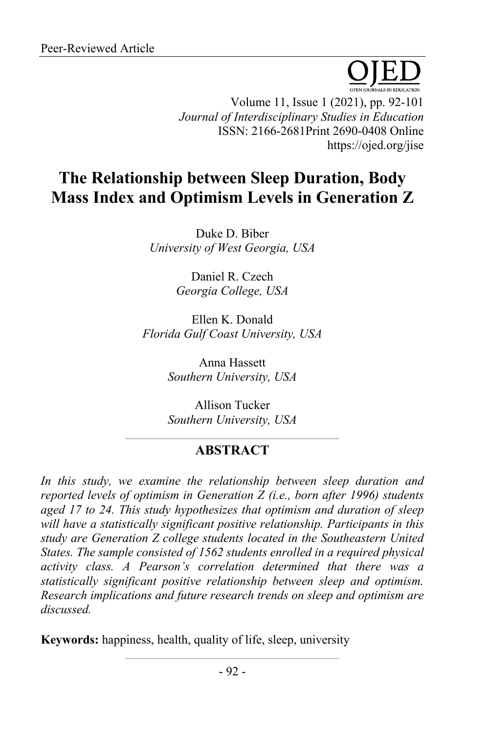Volume 11, Issue 1 (2021), pp. 92-101 *Journal of Interdisciplinary Studies in Education* ISSN: 2166-2681Print 2690-0408 Online https://ojed.org/jise

# **The Relationship between Sleep Duration, Body Mass Index and Optimism Levels in Generation Z**

Duke D. Biber *University of West Georgia, USA*

> Daniel R. Czech *Georgia College, USA*

Ellen K. Donald *Florida Gulf Coast University, USA*

> Anna Hassett *Southern University, USA*

Allison Tucker *Southern University, USA*

# **ABSTRACT**

*In this study, we examine the relationship between sleep duration and reported levels of optimism in Generation Z (i.e., born after 1996) students aged 17 to 24. This study hypothesizes that optimism and duration of sleep will have a statistically significant positive relationship. Participants in this study are Generation Z college students located in the Southeastern United States. The sample consisted of 1562 students enrolled in a required physical activity class. A Pearson's correlation determined that there was a statistically significant positive relationship between sleep and optimism. Research implications and future research trends on sleep and optimism are discussed.*

**Keywords:** happiness, health, quality of life, sleep, university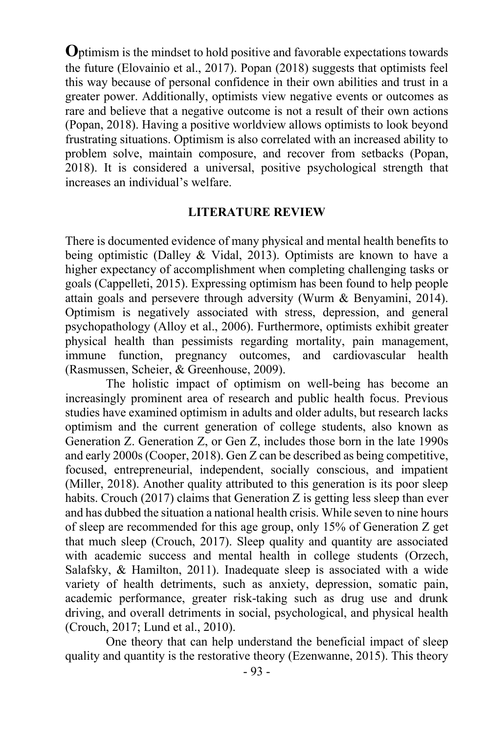**O**ptimism is the mindset to hold positive and favorable expectations towards the future (Elovainio et al., 2017). Popan (2018) suggests that optimists feel this way because of personal confidence in their own abilities and trust in a greater power. Additionally, optimists view negative events or outcomes as rare and believe that a negative outcome is not a result of their own actions (Popan, 2018). Having a positive worldview allows optimists to look beyond frustrating situations. Optimism is also correlated with an increased ability to problem solve, maintain composure, and recover from setbacks (Popan, 2018). It is considered a universal, positive psychological strength that increases an individual's welfare.

### **LITERATURE REVIEW**

There is documented evidence of many physical and mental health benefits to being optimistic (Dalley & Vidal, 2013). Optimists are known to have a higher expectancy of accomplishment when completing challenging tasks or goals (Cappelleti, 2015). Expressing optimism has been found to help people attain goals and persevere through adversity (Wurm & Benyamini, 2014). Optimism is negatively associated with stress, depression, and general psychopathology (Alloy et al., 2006). Furthermore, optimists exhibit greater physical health than pessimists regarding mortality, pain management, immune function, pregnancy outcomes, and cardiovascular health (Rasmussen, Scheier, & Greenhouse, 2009).

The holistic impact of optimism on well-being has become an increasingly prominent area of research and public health focus. Previous studies have examined optimism in adults and older adults, but research lacks optimism and the current generation of college students, also known as Generation Z. Generation Z, or Gen Z, includes those born in the late 1990s and early 2000s (Cooper, 2018). Gen Z can be described as being competitive, focused, entrepreneurial, independent, socially conscious, and impatient (Miller, 2018). Another quality attributed to this generation is its poor sleep habits. Crouch (2017) claims that Generation Z is getting less sleep than ever and has dubbed the situation a national health crisis. While seven to nine hours of sleep are recommended for this age group, only 15% of Generation Z get that much sleep (Crouch, 2017). Sleep quality and quantity are associated with academic success and mental health in college students (Orzech, Salafsky, & Hamilton, 2011). Inadequate sleep is associated with a wide variety of health detriments, such as anxiety, depression, somatic pain, academic performance, greater risk-taking such as drug use and drunk driving, and overall detriments in social, psychological, and physical health (Crouch, 2017; Lund et al., 2010).

One theory that can help understand the beneficial impact of sleep quality and quantity is the restorative theory (Ezenwanne, 2015). This theory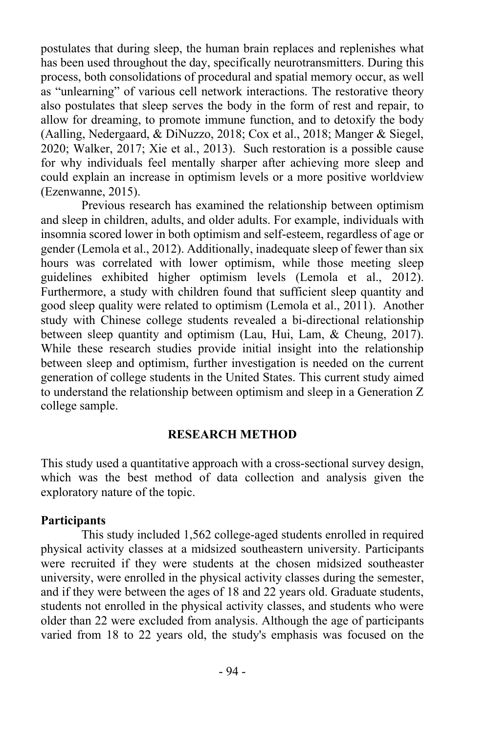postulates that during sleep, the human brain replaces and replenishes what has been used throughout the day, specifically neurotransmitters. During this process, both consolidations of procedural and spatial memory occur, as well as "unlearning" of various cell network interactions. The restorative theory also postulates that sleep serves the body in the form of rest and repair, to allow for dreaming, to promote immune function, and to detoxify the body (Aalling, Nedergaard, & DiNuzzo, 2018; Cox et al., 2018; Manger & Siegel, 2020; Walker, 2017; Xie et al., 2013). Such restoration is a possible cause for why individuals feel mentally sharper after achieving more sleep and could explain an increase in optimism levels or a more positive worldview (Ezenwanne, 2015).

Previous research has examined the relationship between optimism and sleep in children, adults, and older adults. For example, individuals with insomnia scored lower in both optimism and self-esteem, regardless of age or gender (Lemola et al., 2012). Additionally, inadequate sleep of fewer than six hours was correlated with lower optimism, while those meeting sleep guidelines exhibited higher optimism levels (Lemola et al., 2012). Furthermore, a study with children found that sufficient sleep quantity and good sleep quality were related to optimism (Lemola et al., 2011). Another study with Chinese college students revealed a bi-directional relationship between sleep quantity and optimism (Lau, Hui, Lam, & Cheung, 2017). While these research studies provide initial insight into the relationship between sleep and optimism, further investigation is needed on the current generation of college students in the United States. This current study aimed to understand the relationship between optimism and sleep in a Generation Z college sample.

## **RESEARCH METHOD**

This study used a quantitative approach with a cross-sectional survey design, which was the best method of data collection and analysis given the exploratory nature of the topic.

#### **Participants**

This study included 1,562 college-aged students enrolled in required physical activity classes at a midsized southeastern university. Participants were recruited if they were students at the chosen midsized southeaster university, were enrolled in the physical activity classes during the semester, and if they were between the ages of 18 and 22 years old. Graduate students, students not enrolled in the physical activity classes, and students who were older than 22 were excluded from analysis. Although the age of participants varied from 18 to 22 years old, the study's emphasis was focused on the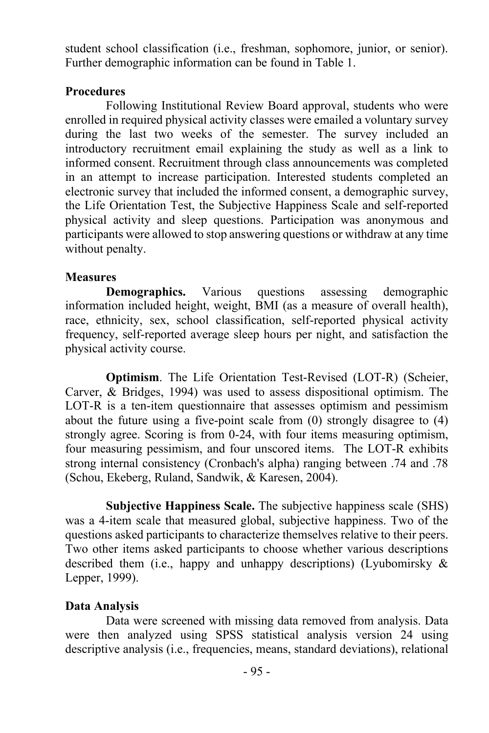student school classification (i.e., freshman, sophomore, junior, or senior). Further demographic information can be found in Table 1.

# **Procedures**

Following Institutional Review Board approval, students who were enrolled in required physical activity classes were emailed a voluntary survey during the last two weeks of the semester. The survey included an introductory recruitment email explaining the study as well as a link to informed consent. Recruitment through class announcements was completed in an attempt to increase participation. Interested students completed an electronic survey that included the informed consent, a demographic survey, the Life Orientation Test, the Subjective Happiness Scale and self-reported physical activity and sleep questions. Participation was anonymous and participants were allowed to stop answering questions or withdraw at any time without penalty.

# **Measures**

**Demographics.** Various questions assessing demographic information included height, weight, BMI (as a measure of overall health), race, ethnicity, sex, school classification, self-reported physical activity frequency, self-reported average sleep hours per night, and satisfaction the physical activity course.

**Optimism**. The Life Orientation Test-Revised (LOT-R) (Scheier, Carver, & Bridges, 1994) was used to assess dispositional optimism. The LOT-R is a ten-item questionnaire that assesses optimism and pessimism about the future using a five-point scale from (0) strongly disagree to (4) strongly agree. Scoring is from 0-24, with four items measuring optimism, four measuring pessimism, and four unscored items. The LOT-R exhibits strong internal consistency (Cronbach's alpha) ranging between .74 and .78 (Schou, Ekeberg, Ruland, Sandwik, & Karesen, 2004).

**Subjective Happiness Scale.** The subjective happiness scale (SHS) was a 4-item scale that measured global, subjective happiness. Two of the questions asked participants to characterize themselves relative to their peers. Two other items asked participants to choose whether various descriptions described them (i.e., happy and unhappy descriptions) (Lyubomirsky & Lepper, 1999).

# **Data Analysis**

Data were screened with missing data removed from analysis. Data were then analyzed using SPSS statistical analysis version 24 using descriptive analysis (i.e., frequencies, means, standard deviations), relational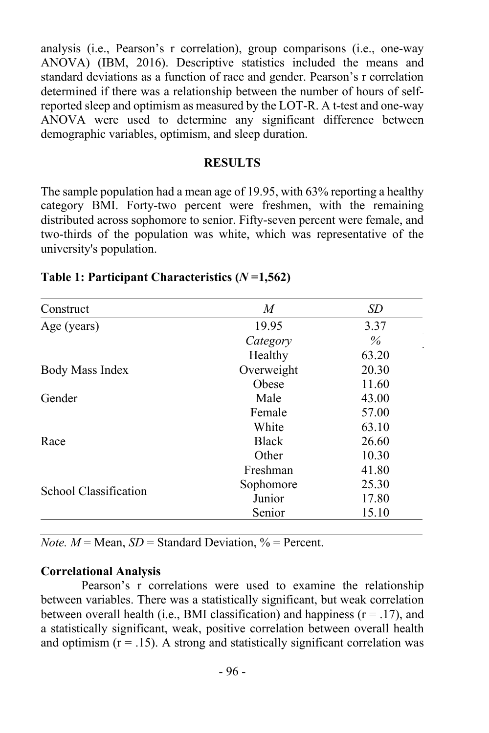analysis (i.e., Pearson's r correlation), group comparisons (i.e., one-way ANOVA) (IBM, 2016). Descriptive statistics included the means and standard deviations as a function of race and gender. Pearson's r correlation determined if there was a relationship between the number of hours of selfreported sleep and optimism as measured by the LOT-R. A t-test and one-way ANOVA were used to determine any significant difference between demographic variables, optimism, and sleep duration.

#### **RESULTS**

The sample population had a mean age of 19.95, with 63% reporting a healthy category BMI. Forty-two percent were freshmen, with the remaining distributed across sophomore to senior. Fifty-seven percent were female, and two-thirds of the population was white, which was representative of the university's population.

| Construct             | $\boldsymbol{M}$ | SD    |
|-----------------------|------------------|-------|
| Age (years)           | 19.95            | 3.37  |
|                       | Category         | $\%$  |
|                       | Healthy          | 63.20 |
| Body Mass Index       | Overweight       | 20.30 |
|                       | Obese            | 11.60 |
| Gender                | Male             | 43.00 |
|                       | Female           | 57.00 |
| Race                  | White            | 63.10 |
|                       | <b>Black</b>     | 26.60 |
|                       | Other            | 10.30 |
| School Classification | Freshman         | 41.80 |
|                       | Sophomore        | 25.30 |
|                       | Junior           | 17.80 |
|                       | Senior           | 15.10 |

## **Table 1: Participant Characteristics (***N* **=1,562)**

*Note.*  $M = \text{Mean}$ ,  $SD = \text{Standard Deviation}$ ,  $\% = \text{Percent}$ .

#### **Correlational Analysis**

Pearson's r correlations were used to examine the relationship between variables. There was a statistically significant, but weak correlation between overall health (i.e., BMI classification) and happiness ( $r = .17$ ), and a statistically significant, weak, positive correlation between overall health and optimism  $(r = .15)$ . A strong and statistically significant correlation was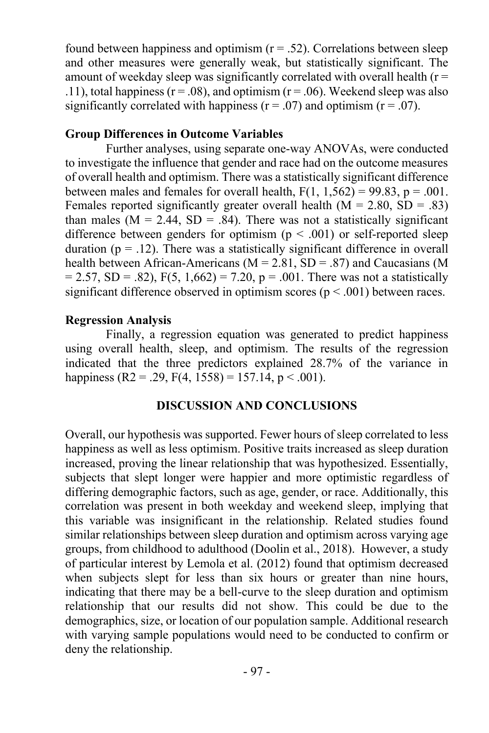found between happiness and optimism  $(r = .52)$ . Correlations between sleep and other measures were generally weak, but statistically significant. The amount of weekday sleep was significantly correlated with overall health  $(r =$ .11), total happiness ( $r = .08$ ), and optimism ( $r = .06$ ). Weekend sleep was also significantly correlated with happiness  $(r = .07)$  and optimism  $(r = .07)$ .

### **Group Differences in Outcome Variables**

Further analyses, using separate one-way ANOVAs, were conducted to investigate the influence that gender and race had on the outcome measures of overall health and optimism. There was a statistically significant difference between males and females for overall health,  $F(1, 1, 562) = 99.83$ ,  $p = .001$ . Females reported significantly greater overall health  $(M = 2.80, SD = .83)$ than males ( $M = 2.44$ ,  $SD = .84$ ). There was not a statistically significant difference between genders for optimism ( $p < .001$ ) or self-reported sleep duration ( $p = .12$ ). There was a statistically significant difference in overall health between African-Americans ( $M = 2.81$ , SD = .87) and Caucasians (M  $= 2.57$ , SD = .82), F(5, 1,662) = 7.20, p = .001. There was not a statistically significant difference observed in optimism scores ( $p < .001$ ) between races.

#### **Regression Analysis**

Finally, a regression equation was generated to predict happiness using overall health, sleep, and optimism. The results of the regression indicated that the three predictors explained 28.7% of the variance in happiness (R2 = .29, F(4, 1558) = 157.14, p < .001).

### **DISCUSSION AND CONCLUSIONS**

Overall, our hypothesis was supported. Fewer hours of sleep correlated to less happiness as well as less optimism. Positive traits increased as sleep duration increased, proving the linear relationship that was hypothesized. Essentially, subjects that slept longer were happier and more optimistic regardless of differing demographic factors, such as age, gender, or race. Additionally, this correlation was present in both weekday and weekend sleep, implying that this variable was insignificant in the relationship. Related studies found similar relationships between sleep duration and optimism across varying age groups, from childhood to adulthood (Doolin et al., 2018). However, a study of particular interest by Lemola et al. (2012) found that optimism decreased when subjects slept for less than six hours or greater than nine hours, indicating that there may be a bell-curve to the sleep duration and optimism relationship that our results did not show. This could be due to the demographics, size, or location of our population sample. Additional research with varying sample populations would need to be conducted to confirm or deny the relationship.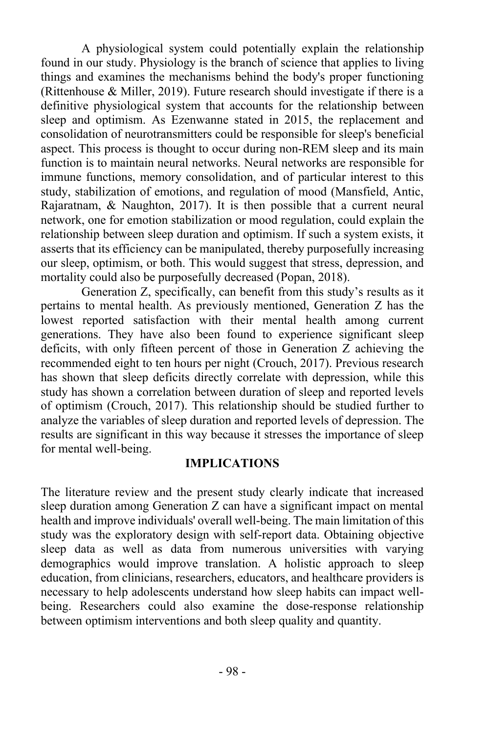A physiological system could potentially explain the relationship found in our study. Physiology is the branch of science that applies to living things and examines the mechanisms behind the body's proper functioning (Rittenhouse & Miller, 2019). Future research should investigate if there is a definitive physiological system that accounts for the relationship between sleep and optimism. As Ezenwanne stated in 2015, the replacement and consolidation of neurotransmitters could be responsible for sleep's beneficial aspect. This process is thought to occur during non-REM sleep and its main function is to maintain neural networks. Neural networks are responsible for immune functions, memory consolidation, and of particular interest to this study, stabilization of emotions, and regulation of mood (Mansfield, Antic, Rajaratnam, & Naughton, 2017). It is then possible that a current neural network, one for emotion stabilization or mood regulation, could explain the relationship between sleep duration and optimism. If such a system exists, it asserts that its efficiency can be manipulated, thereby purposefully increasing our sleep, optimism, or both. This would suggest that stress, depression, and mortality could also be purposefully decreased (Popan, 2018).

Generation Z, specifically, can benefit from this study's results as it pertains to mental health. As previously mentioned, Generation Z has the lowest reported satisfaction with their mental health among current generations. They have also been found to experience significant sleep deficits, with only fifteen percent of those in Generation Z achieving the recommended eight to ten hours per night (Crouch, 2017). Previous research has shown that sleep deficits directly correlate with depression, while this study has shown a correlation between duration of sleep and reported levels of optimism (Crouch, 2017). This relationship should be studied further to analyze the variables of sleep duration and reported levels of depression. The results are significant in this way because it stresses the importance of sleep for mental well-being.

### **IMPLICATIONS**

The literature review and the present study clearly indicate that increased sleep duration among Generation Z can have a significant impact on mental health and improve individuals' overall well-being. The main limitation of this study was the exploratory design with self-report data. Obtaining objective sleep data as well as data from numerous universities with varying demographics would improve translation. A holistic approach to sleep education, from clinicians, researchers, educators, and healthcare providers is necessary to help adolescents understand how sleep habits can impact wellbeing. Researchers could also examine the dose-response relationship between optimism interventions and both sleep quality and quantity.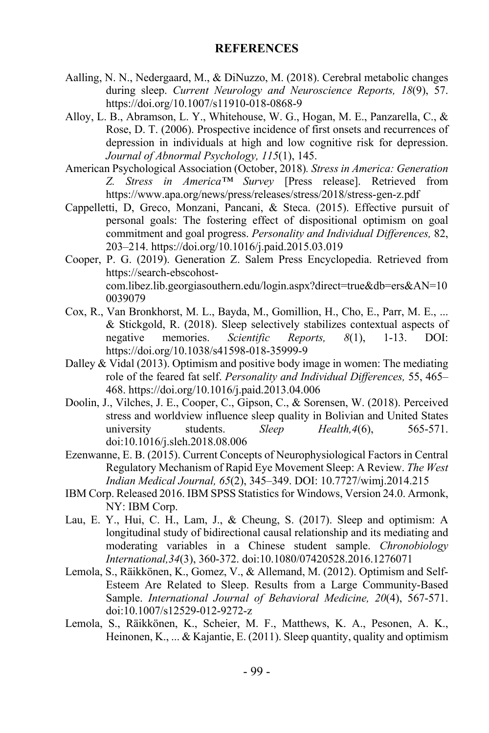#### **REFERENCES**

- Aalling, N. N., Nedergaard, M., & DiNuzzo, M. (2018). Cerebral metabolic changes during sleep. *Current Neurology and Neuroscience Reports, 18*(9), 57. https://doi.org/10.1007/s11910-018-0868-9
- Alloy, L. B., Abramson, L. Y., Whitehouse, W. G., Hogan, M. E., Panzarella, C., & Rose, D. T. (2006). Prospective incidence of first onsets and recurrences of depression in individuals at high and low cognitive risk for depression. *Journal of Abnormal Psychology, 115*(1), 145.
- American Psychological Association (October, 2018)*. Stress in America: Generation Z. Stress in America™ Survey* [Press release]. Retrieved from https://www.apa.org/news/press/releases/stress/2018/stress-gen-z.pdf
- Cappelletti, D, Greco, Monzani, Pancani, & Steca. (2015). Effective pursuit of personal goals: The fostering effect of dispositional optimism on goal commitment and goal progress. *Personality and Individual Differences,* 82, 203–214. https://doi.org/10.1016/j.paid.2015.03.019
- Cooper, P. G. (2019). Generation Z. Salem Press Encyclopedia. Retrieved from https://search-ebscohostcom.libez.lib.georgiasouthern.edu/login.aspx?direct=true&db=ers&AN=10 0039079
- Cox, R., Van Bronkhorst, M. L., Bayda, M., Gomillion, H., Cho, E., Parr, M. E., ... & Stickgold, R. (2018). Sleep selectively stabilizes contextual aspects of negative memories. *Scientific Reports, 8*(1), 1-13. DOI: https://doi.org/10.1038/s41598-018-35999-9
- Dalley & Vidal (2013). Optimism and positive body image in women: The mediating role of the feared fat self. *Personality and Individual Differences,* 55, 465– 468. https://doi.org/10.1016/j.paid.2013.04.006
- Doolin, J., Vilches, J. E., Cooper, C., Gipson, C., & Sorensen, W. (2018). Perceived stress and worldview influence sleep quality in Bolivian and United States university students. *Sleep Health,4*(6), 565-571. doi:10.1016/j.sleh.2018.08.006
- Ezenwanne, E. B. (2015). Current Concepts of Neurophysiological Factors in Central Regulatory Mechanism of Rapid Eye Movement Sleep: A Review. *The West Indian Medical Journal, 65*(2), 345–349. DOI: 10.7727/wimj.2014.215
- IBM Corp. Released 2016. IBM SPSS Statistics for Windows, Version 24.0. Armonk, NY: IBM Corp.
- Lau, E. Y., Hui, C. H., Lam, J., & Cheung, S. (2017). Sleep and optimism: A longitudinal study of bidirectional causal relationship and its mediating and moderating variables in a Chinese student sample. *Chronobiology International,34*(3), 360-372. doi:10.1080/07420528.2016.1276071
- Lemola, S., Räikkönen, K., Gomez, V., & Allemand, M. (2012). Optimism and Self-Esteem Are Related to Sleep. Results from a Large Community-Based Sample. *International Journal of Behavioral Medicine, 20*(4), 567-571. doi:10.1007/s12529-012-9272-z
- Lemola, S., Räikkönen, K., Scheier, M. F., Matthews, K. A., Pesonen, A. K., Heinonen, K., ... & Kajantie, E. (2011). Sleep quantity, quality and optimism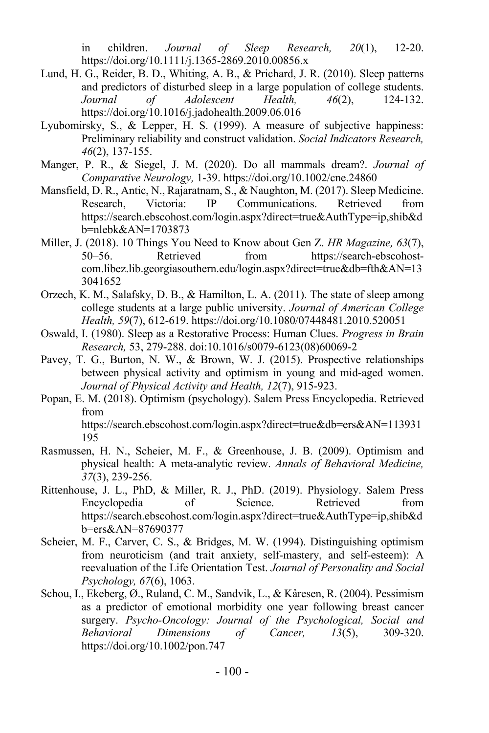in children. *Journal of Sleep Research, 20*(1), 12-20. https://doi.org/10.1111/j.1365-2869.2010.00856.x

- Lund, H. G., Reider, B. D., Whiting, A. B., & Prichard, J. R. (2010). Sleep patterns and predictors of disturbed sleep in a large population of college students. *Journal of Adolescent Health, 46*(2), 124-132. https://doi.org/10.1016/j.jadohealth.2009.06.016
- Lyubomirsky, S., & Lepper, H. S. (1999). A measure of subjective happiness: Preliminary reliability and construct validation. *Social Indicators Research, 46*(2), 137-155.
- Manger, P. R., & Siegel, J. M. (2020). Do all mammals dream?. *Journal of Comparative Neurology,* 1-39. https://doi.org/10.1002/cne.24860
- Mansfield, D. R., Antic, N., Rajaratnam, S., & Naughton, M. (2017). Sleep Medicine. Research, Victoria: IP Communications. Retrieved from https://search.ebscohost.com/login.aspx?direct=true&AuthType=ip,shib&d b=nlebk&AN=1703873
- Miller, J. (2018). 10 Things You Need to Know about Gen Z. *HR Magazine, 63*(7), 50–56. Retrieved from https://search-ebscohostcom.libez.lib.georgiasouthern.edu/login.aspx?direct=true&db=fth&AN=13 3041652
- Orzech, K. M., Salafsky, D. B., & Hamilton, L. A. (2011). The state of sleep among college students at a large public university. *Journal of American College Health, 59*(7), 612-619. https://doi.org/10.1080/07448481.2010.520051
- Oswald, I. (1980). Sleep as a Restorative Process: Human Clues. *Progress in Brain Research,* 53, 279-288. doi:10.1016/s0079-6123(08)60069-2
- Pavey, T. G., Burton, N. W., & Brown, W. J. (2015). Prospective relationships between physical activity and optimism in young and mid-aged women. *Journal of Physical Activity and Health, 12*(7), 915-923.
- Popan, E. M. (2018). Optimism (psychology). Salem Press Encyclopedia. Retrieved from https://search.ebscohost.com/login.aspx?direct=true&db=ers&AN=113931 195
- Rasmussen, H. N., Scheier, M. F., & Greenhouse, J. B. (2009). Optimism and physical health: A meta-analytic review. *Annals of Behavioral Medicine, 37*(3), 239-256.
- Rittenhouse, J. L., PhD, & Miller, R. J., PhD. (2019). Physiology. Salem Press Encyclopedia of Science. Retrieved from https://search.ebscohost.com/login.aspx?direct=true&AuthType=ip,shib&d b=ers&AN=87690377
- Scheier, M. F., Carver, C. S., & Bridges, M. W. (1994). Distinguishing optimism from neuroticism (and trait anxiety, self-mastery, and self-esteem): A reevaluation of the Life Orientation Test. *Journal of Personality and Social Psychology, 67*(6), 1063.
- Schou, I., Ekeberg, Ø., Ruland, C. M., Sandvik, L., & Kåresen, R. (2004). Pessimism as a predictor of emotional morbidity one year following breast cancer surgery. *Psycho‐Oncology: Journal of the Psychological, Social and Behavioral Dimensions of Cancer, 13*(5), 309-320. https://doi.org/10.1002/pon.747